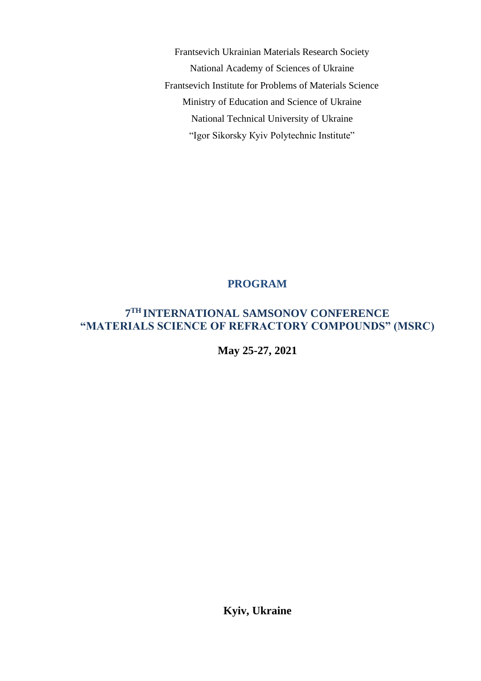Frantsevich Ukrainian Materials Research Society National Academy of Sciences of Ukraine Frantsevich Institute for Problems of Materials Science Ministry of Education and Science of Ukraine National Technical University of Ukraine "Igor Sikorsky Кyiv Polytechnic Institute"

## **PROGRAM**

## **7 TH INTERNATIONAL SAMSONOV CONFERENCE "MATERIALS SCIENCE OF REFRACTORY COMPOUNDS" (MSRC)**

**May 25-27, 2021**

**Kyiv, Ukraine**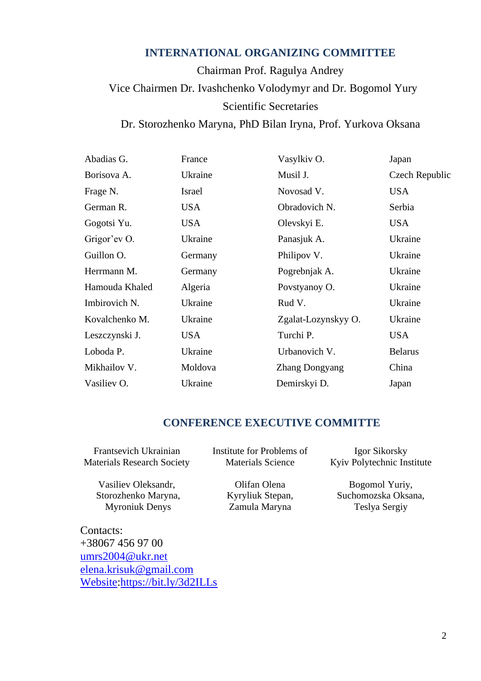## **INTERNATIONAL ORGANIZING COMMITTEE**

Chairman Prof. Ragulya Andrey Vice Chairmen Dr. Ivashchenko Volodymyr and Dr. Bogomol Yury Scientific Secretaries

Dr. Storozhenko Maryna, PhD Bilan Iryna, Prof. Yurkova Oksana

| Abadias G.     | France     | Vasylkiv O.           | Japan          |
|----------------|------------|-----------------------|----------------|
| Borisova A.    | Ukraine    | Musil J.              | Czech Republic |
| Frage N.       | Israel     | Novosad V.            | <b>USA</b>     |
| German R.      | <b>USA</b> | Obradovich N.         | Serbia         |
| Gogotsi Yu.    | <b>USA</b> | Olevskyi E.           | <b>USA</b>     |
| Grigor'ev O.   | Ukraine    | Panasjuk A.           | Ukraine        |
| Guillon O.     | Germany    | Philipov V.           | Ukraine        |
| Herrmann M.    | Germany    | Pogrebnjak A.         | Ukraine        |
| Hamouda Khaled | Algeria    | Povstyanoy O.         | Ukraine        |
| Imbirovich N.  | Ukraine    | Rud V.                | Ukraine        |
| Kovalchenko M. | Ukraine    | Zgalat-Lozynskyy O.   | Ukraine        |
| Leszczynski J. | <b>USA</b> | Turchi P.             | <b>USA</b>     |
| Loboda P.      | Ukraine    | Urbanovich V.         | <b>Belarus</b> |
| Mikhailov V.   | Moldova    | <b>Zhang Dongyang</b> | China          |
| Vasiliev O.    | Ukraine    | Demirskyi D.          | Japan          |

## **CONFERENCE EXECUTIVE COMMITTE**

Frantsevich Ukrainian Materials Research Society Institute for Problems of Materials Science

> Olifan Olena Kyryliuk Stepan, Zamula Maryna

Vasiliev Oleksandr, Storozhenko Maryna, Myroniuk Denys

Contacts: +38067 456 97 00 [umrs2004@ukr.net](mailto:umrs2004@ukr.net) [elena.krisuk@gmail.com](mailto:elena.krisuk@gmail.com) [Website:https://bit.ly/3d2ILLs](https://bit.ly/3d2ILLs)

Igor Sikorsky Кyiv Polytechnic Institute

Bogomol Yuriy, Suchomozska Oksana, Teslya Sergiy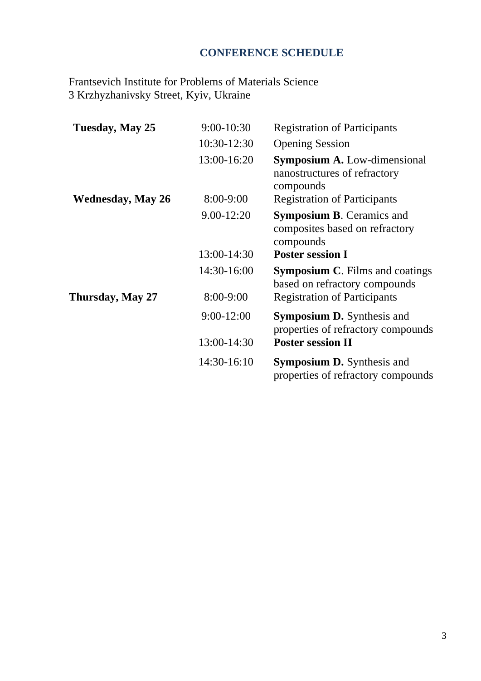# **CONFERENCE SCHEDULE**

Frantsevich Institute for Problems of Materials Science 3 Krzhyzhanivsky Street, Kyiv, Ukraine

| Tuesday, May 25          | 9:00-10:30     | <b>Registration of Participants</b>                                              |  |
|--------------------------|----------------|----------------------------------------------------------------------------------|--|
|                          | 10:30-12:30    | <b>Opening Session</b>                                                           |  |
|                          | 13:00-16:20    | <b>Symposium A.</b> Low-dimensional<br>nanostructures of refractory<br>compounds |  |
| <b>Wednesday, May 26</b> | 8:00-9:00      | <b>Registration of Participants</b>                                              |  |
|                          | 9.00-12:20     | <b>Symposium B.</b> Ceramics and<br>composites based on refractory<br>compounds  |  |
|                          | 13:00-14:30    | <b>Poster session I</b>                                                          |  |
|                          | 14:30-16:00    | <b>Symposium C.</b> Films and coatings<br>based on refractory compounds          |  |
| Thursday, May 27         | 8:00-9:00      | <b>Registration of Participants</b>                                              |  |
|                          | $9:00 - 12:00$ | <b>Symposium D.</b> Synthesis and<br>properties of refractory compounds          |  |
|                          | 13:00-14:30    | <b>Poster session II</b>                                                         |  |
|                          | 14:30-16:10    | <b>Symposium D.</b> Synthesis and<br>properties of refractory compounds          |  |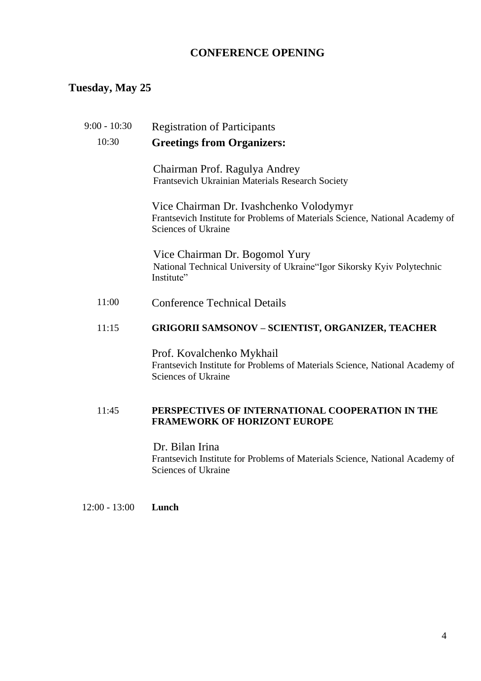## **CONFERENCE OPENING**

## **Tuesday, May 25**

# 9:00 - 10:30 Registration of Participants 10:30 **Greetings from Organizers:**

Chairman Prof. Ragulya Andrey Frantsevich Ukrainian Materials Research Society

Vice Chairman Dr. Ivashchenko Volodymyr Frantsevich Institute for Problems of Materials Science, National Academy of Sciences of Ukraine

Vice Chairman Dr. Bogomol Yury National Technical University of Ukraine"Igor Sikorsky Кyiv Polytechnic Institute"

11:00 Conference Technical Details

#### 11:15 **GRIGORII SAMSONOV – SCIENTIST, ORGANIZER, TEACHER**

Prof. Kovalchenko Mykhail Frantsevich Institute for Problems of Materials Science, National Academy of Sciences of Ukraine

#### 11:45 **PERSPECTIVES OF INTERNATIONAL COOPERATION IN THE FRAMEWORK OF HORIZONT EUROPE**

Dr. Bilan Irina Frantsevich Institute for Problems of Materials Science, National Academy of Sciences of Ukraine

12:00 - 13:00 **Lunch**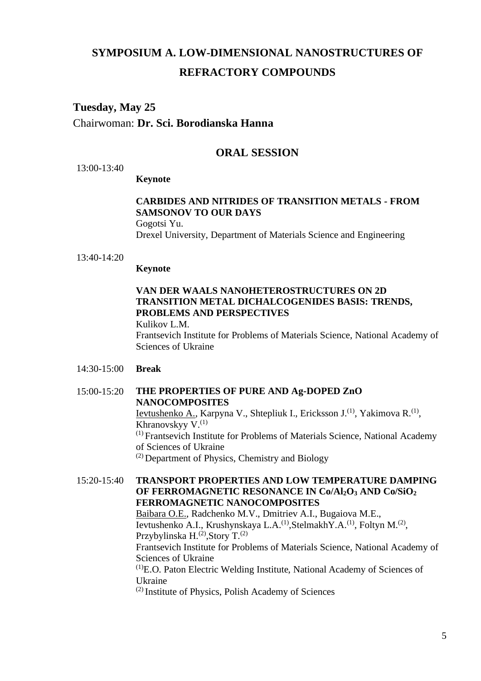# **SYMPOSIUM A. LOW-DIMENSIONAL NANOSTRUCTURES OF REFRACTORY COMPOUNDS**

# **Tuesday, May 25**

Chairwoman: **Dr. Sci. Borodianska Hanna**

## **ORAL SESSION**

13:00-13:40

#### **Keynote**

#### **CARBIDES AND NITRIDES OF TRANSITION METALS - FROM SAMSONOV TO OUR DAYS** Gogotsi Yu.

Drexel University, Department of Materials Science and Engineering

13:40-14:20

#### **Keynote**

#### **VAN DER WAALS NANOHETEROSTRUCTURES ON 2D TRANSITION METAL DICHALCOGENIDES BASIS: TRENDS, PROBLEMS AND PERSPECTIVES** Kulikov L.M.

Frantsevich Institute for Problems of Materials Science, National Academy of Sciences of Ukraine

#### 14:30-15:00 **Break**

#### 15:00-15:20 **THE PROPERTIES OF PURE AND Ag-DOPED ZnO NANOCOMPOSITES** Ievtushenko A., Karpyna V., Shtepliuk I., Ericksson J.<sup>(1)</sup>, Yakimova R.<sup>(1)</sup>, Khranovskyy  $V^{(1)}$ (1) Frantsevich Institute for Problems of Materials Science, National Academy of Sciences of Ukraine

(2) Department of Physics, Chemistry and Biology

#### 15:20-15:40 **TRANSPORT PROPERTIES AND LOW TEMPERATURE DAMPING OF FERROMAGNETIC RESONANCE IN Co/Al2O<sup>3</sup> AND Co/SiO<sup>2</sup> FERROMAGNETIC NANOCOMPOSITES**

Baibara O.E., Radchenko M.V., Dmitriev A.I., Bugaiova M.E., Ievtushenko A.I., Krushynskaya L.A.<sup>(1)</sup>,StelmakhY.A.<sup>(1)</sup>, Foltyn M.<sup>(2)</sup>, Przybylinska H.<sup>(2)</sup>, Story T.<sup>(2)</sup> Frantsevich Institute for Problems of Materials Science, National Academy of Sciences of Ukraine (1)E.O. Paton Electric Welding Institute, National Academy of Sciences of Ukraine

(2) Institute of Physics, Polish Academy of Sciences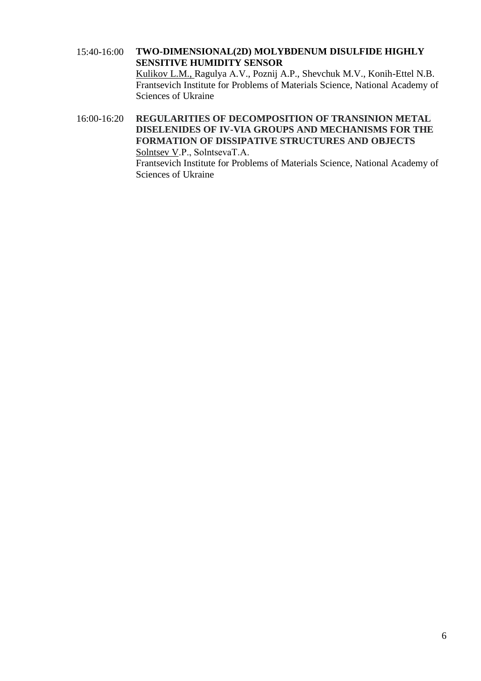#### 15:40-16:00 **TWO-DIMENSIONAL(2D) MOLYBDENUM DISULFIDE HIGHLY SENSITIVE HUMIDITY SENSOR**  Kulikov L.M., Ragulya А*.*V., Poznij A.P., Shevchuk M.V., Konih-Ettel N.B. Frantsevich Institute for Problems of Materials Science, National Academy of Sciences of Ukraine

16:00-16:20 **REGULARITIES OF DECOMPOSITION OF TRANSINION METAL DISELENIDES OF IV-VIA GROUPS AND MECHANISMS FOR THE FORMATION OF DISSIPATIVE STRUCTURES AND OBJECTS** Solntsev V.P., SolntsevaТ.А. Frantsevich Institute for Problems of Materials Science, National Academy of Sciences of Ukraine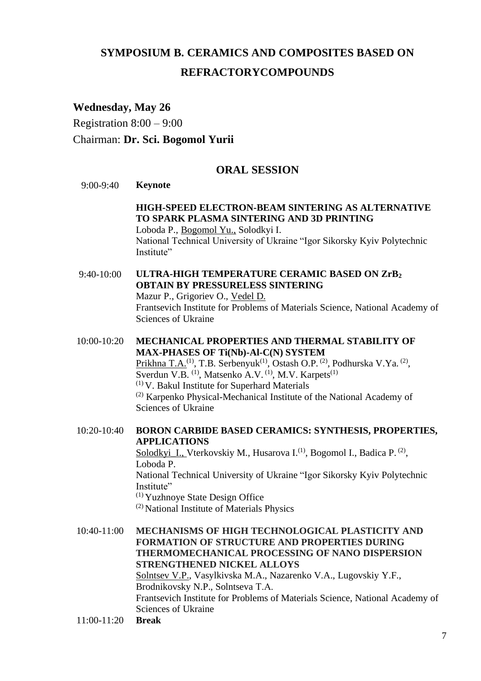# **SYMPOSIUM B. CERAMICS AND COMPOSITES BASED ON REFRACTORYCOMPOUNDS**

## **Wednesday, May 26**

Registration 8:00 – 9:00 Chairman: **Dr. Sci. Bogomol Yurii**

# **ORAL SESSION**

#### 9:00-9:40 **Keynote**

## **HIGH-SPEED ELECTRON-BEAM SINTERING AS ALTERNATIVE TO SPARK PLASMA SINTERING AND 3D PRINTING**

Loboda P., Bogomol Yu., Solodkyi I. National Technical University of Ukraine "Igor Sikorsky Kyiv Polytechnic Institute"

9:40-10:00 **ULTRA-HIGH TEMPERATURE CERAMIC BASED ON ZrB<sup>2</sup> OBTAIN BY PRESSURELESS SINTERING** Mazur P., Grigoriev O., Vedel D. Frantsevich Institute for Problems of Materials Science, National Academy of Sciences of Ukraine

10:00-10:20 **MECHANICAL PROPERTIES AND THERMAL STABILITY OF MAX-PHASES OF Ti(Nb)-Al-C(N) SYSTEM** Prikhna T.A.<sup>(1)</sup>, T.B. Serbenyuk<sup>(1)</sup>, Ostash O.P.<sup>(2)</sup>, Podhurska V.Ya.<sup>(2)</sup>, Sverdun V.B.  $^{(1)}$ , Matsenko A.V.  $^{(1)}$ , M.V. Karpets $^{(1)}$ (1) V. Bakul Institute for Superhard Materials (2) Karpenko Physical-Mechanical Institute of the National Academy of Sciences of Ukraine

## 10:20-10:40 **BORON CARBIDE BASED CERAMICS: SYNTHESIS, PROPERTIES, APPLICATIONS**

Solodkyi\_I., Vterkovskiy M., Husarova I.<sup>(1)</sup>, Bogomol I., Badica P.<sup>(2)</sup>, Loboda P. National Technical University of Ukraine "Igor Sikorsky Kyiv Polytechnic Institute"

(1) Yuzhnoye State Design Office

(2) National Institute of Materials Physics

10:40-11:00 **MECHANISMS OF HIGH TECHNOLOGICAL PLASTICITY AND FORMATION OF STRUCTURE AND PROPERTIES DURING THERMOMECHANICAL PROCESSING OF NANO DISPERSION STRENGTHENED NICKEL ALLOYS** Solntsev V.P., Vasylkivska M.A., Nazarenko V.A., Lugovskiy Y.F., Brodnikovsky N.P., Solntseva Т.А. Frantsevich Institute for Problems of Materials Science, National Academy of Sciences of Ukraine

11:00-11:20 **Break**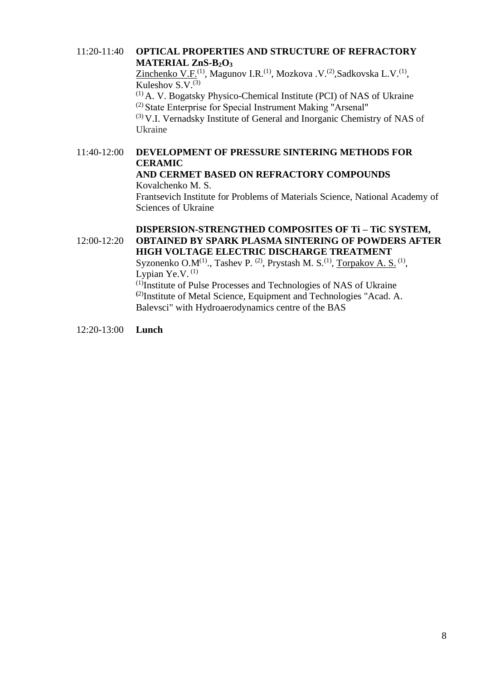#### 11:20-11:40 **OPTICAL PROPERTIES AND STRUCTURE OF REFRACTORY MATERIAL ZnS-B2O<sup>3</sup>**

Zinchenko V.F.<sup>(1)</sup>, Magunov I.R.<sup>(1)</sup>, Mozkova .V.<sup>(2)</sup>,Sadkovska L.V.<sup>(1)</sup>, Kuleshov  $S.V.<sup>(3)</sup>$  $(1)$  A. V. Bogatsky Physico-Chemical Institute (PCI) of NAS of Ukraine

(2) State Enterprise for Special Instrument Making "Аrsenal"

 $(3)$  V.I. Vernadsky Institute of General and Inorganic Chemistry of NAS of Ukraine

## 11:40-12:00 **DEVELOPMENT OF PRESSURE SINTERING METHODS FOR CERAMIC AND CERMET BASED ON REFRACTORY COMPOUNDS**

Kovalchenko M. S.

Frantsevich Institute for Problems of Materials Science, National Academy of Sciences of Ukraine

#### 12:00-12:20 **DISPERSION-STRENGTHED COMPOSITES OF Ti – TiC SYSTEM, OBTAINED BY SPARK PLASMA SINTERING OF POWDERS AFTER HIGH VOLTAGE ELECTRIC DISCHARGE TREATMENT**

Syzonenko O.M<sup>(1)</sup>., Tashev P. <sup>(2)</sup>, Prystash M. S.<sup>(1)</sup>, Torpakov A. S.<sup>(1)</sup>, Lypian Ye.V.  $(1)$ 

(1)Institute of Pulse Processes and Technologies of NAS of Ukraine **(**2)Institute of Metal Science, Equipment and Technologies "Acad. A. Balevsci" with Hydroaerodynamics centre of the BAS

12:20-13:00 **Lunch**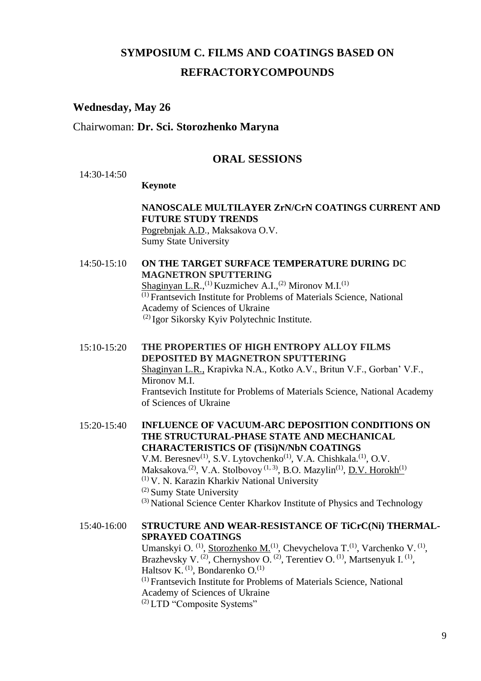# **SYMPOSIUM C. FILMS AND COATINGS BASED ON REFRACTORYCOMPOUNDS**

### **Wednesday, May 26**

#### Chairwoman: **Dr. Sci. Storozhenko Maryna**

#### **ORAL SESSIONS**

 $14.30 - 14.50$ 

#### **Keynote**

## **NANOSCALE MULTILAYER ZrN/CrN COATINGS CURRENT AND FUTURE STUDY TRENDS**

Pogrebnjak A.D., Maksakova O.V. Sumy State University

14:50-15:10 **ON THE TARGET SURFACE TEMPERATURE DURING DC MAGNETRON SPUTTERING** Shaginyan L.R.,<sup>(1)</sup> Kuzmichev A.I.,<sup>(2)</sup> Mironov M.I.<sup>(1)</sup> (1) Frantsevich Institute for Problems of Materials Science, National Academy of Sciences of Ukraine (2) Igor Sikorsky Kyiv Polytechnic Institute.

15:10-15:20 **THE PROPERTIES OF HIGH ENTROPY ALLOY FILMS DEPOSITED BY MAGNETRON SPUTTERING** Shaginyan L.R., Krapivka N.A., Kotko А.V., Britun V.F., Gorban' V.F., Mironov M.I. Frantsevich Institute for Problems of Materials Science, National Academy of Sciences of Ukraine

15:20-15:40 **INFLUENCE OF VACUUM-ARC DEPOSITION CONDITIONS ON THE STRUCTURAL-PHASE STATE AND MECHANICAL CHARACTERISTICS OF (TiSi)N/NbN COATINGS**  V.M. Beresnev<sup>(1)</sup>, S.V. Lytovchenko<sup>(1)</sup>, V.A. Chishkala.<sup>(1)</sup>, O.V. Maksakova.<sup>(2)</sup>, V.A. Stolbovoy<sup>(1,3)</sup>, B.O. Mazylin<sup>(1)</sup>, <u>D.V. Horokh<sup>(1)</sup></u> (1) V. N. Karazin Kharkiv National University (2) Sumy State University (3) National Science Center Kharkov Institute of Physics and Technology

15:40-16:00 **STRUCTURE AND WEAR-RESISTANCE OF TiCrC(Ni) THERMAL-SPRAYED COATINGS** Umanskyi O. <sup>(1)</sup>, Storozhenko M.<sup>(1)</sup>, Chevychelova T.<sup>(1)</sup>, Varchenko V. <sup>(1)</sup>, Brazhevsky V.<sup>(2)</sup>, Chernyshov O.<sup>(2)</sup>, Terentiev O.<sup>(1)</sup>, Martsenyuk I.<sup>(1)</sup>, Haltsov K.  $(1)$ , Bondarenko O. $(1)$ (1) Frantsevich Institute for Problems of Materials Science, National Academy of Sciences of Ukraine (2) LTD "Composite Systems"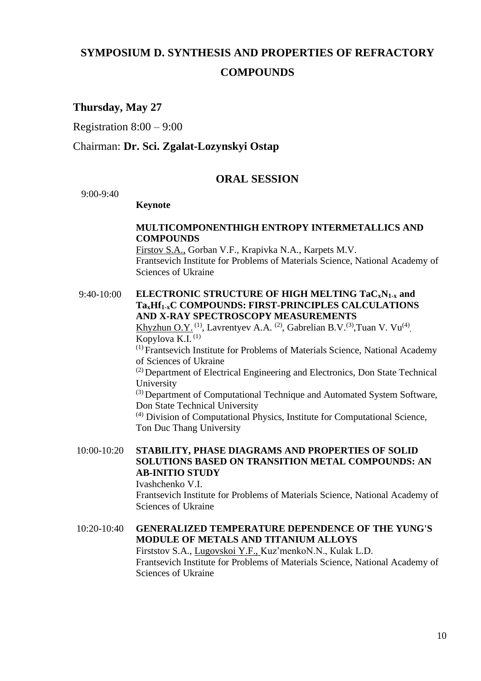# **SYMPOSIUM D. SYNTHESIS AND PROPERTIES OF REFRACTORY COMPOUNDS**

## **Thursday, May 27**

Registration 8:00 – 9:00

## Chairman: **Dr. Sci. Zgalat-Lozynskyi Ostap**

#### **ORAL SESSION**

9:00-9:40

#### **Keynote**

#### **MULTICOMPONENTHIGH ENTROPY INTERMETALLICS AND COMPOUNDS**

Firstov S.A., Gorban V.F., Krapivka N.A., Karpets M.V. Frantsevich Institute for Problems of Materials Science, National Academy of Sciences of Ukraine

9:40-10:00 **ELECTRONIC STRUCTURE OF HIGH MELTING TaCxN1-x and TaxHf1-xC COMPOUNDS: FIRST-PRINCIPLES CALCULATIONS AND X-RAY SPECTROSCOPY MEASUREMENTS**

Khyzhun O.Y.<sup>(1)</sup>, Lavrentyev A.A.<sup>(2)</sup>, Gabrelian B.V.<sup>(3)</sup>, Tuan V. Vu<sup>(4)</sup>, Kopylova K.I. (1)

(1) Frantsevich Institute for Problems of Materials Science, National Academy of Sciences of Ukraine

(2) Department of Electrical Engineering and Electronics, Don State Technical University

(3) Department of Computational Technique and Automated System Software, Don State Technical University

(4) Division of Computational Physics, Institute for Computational Science, Ton Duc Thang University

10:00-10:20 **STABILITY, PHASE DIAGRAMS AND PROPERTIES OF SOLID SOLUTIONS BASED ON TRANSITION METAL COMPOUNDS: AN AB-INITIO STUDY**

Ivashchenko V.I.

Frantsevich Institute for Problems of Materials Science, National Academy of Sciences of Ukraine

10:20-10:40 **GENERALIZED TEMPERATURE DEPENDENCE OF THE YUNG'S MODULE OF METALS AND TITANIUM ALLOYS** Firststov S.A., Lugovskoi Y.F., Kuz'menkoN.N., [Кulak](javascript:;) L.D. Frantsevich Institute for Problems of Materials Science, National Academy of

Sciences of Ukraine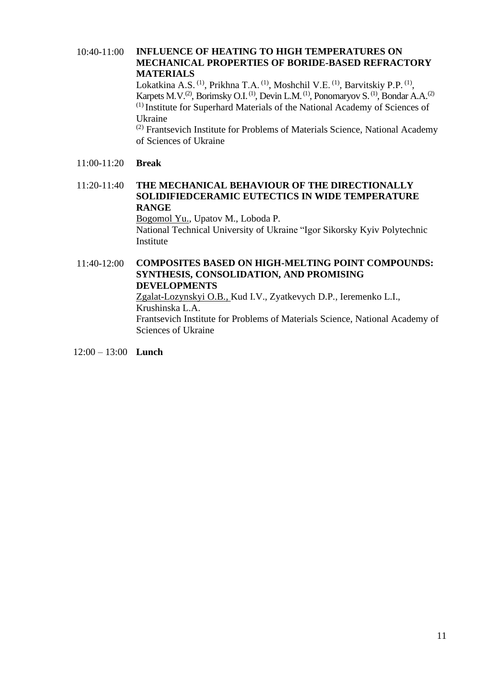#### 10:40-11:00 **INFLUENCE OF HEATING TO HIGH TEMPERATURES ON MECHANICAL PROPERTIES OF BORIDE-BASED REFRACTORY MATERIALS**

Lokatkina A.S. <sup>(1)</sup>, Prikhna T.A. <sup>(1)</sup>, Moshchil V.E. <sup>(1)</sup>, Barvitskiy P.P. <sup>(1)</sup>, Karpets M.V.<sup>(2)</sup>, Borimsky O.I.<sup>(1)</sup>, Devin L.M.<sup>(1)</sup>, Ponomaryov S.<sup>(1)</sup>, Bondar A.A.<sup>(2)</sup> (1) Institute for Superhard Materials of the National Academy of Sciences of Ukraine

(2) Frantsevich Institute for Problems of Materials Science, National Academy of Sciences of Ukraine

#### 11:00-11:20 **Break**

#### 11:20-11:40 **THE MECHANICAL BEHAVIOUR OF THE DIRECTIONALLY SOLIDIFIEDCERAMIC EUTECTICS IN WIDE TEMPERATURE RANGE**

Bogomol Yu., Upatov M., Loboda P. National Technical University of Ukraine "Igor Sikorsky Kyiv Polytechnic Institute

#### 11:40-12:00 **COMPOSITES BASED ON HIGH-MELTING POINT COMPOUNDS: SYNTHESIS, CONSOLIDATION, AND PROMISING DEVELOPMENTS** Zgalat-Lozynskyi O.B., Kud I.V., Zyatkevych D.P., Ieremenko L.I.,

Krushinska L.A. Frantsevich Institute for Problems of Materials Science, National Academy of Sciences of Ukraine

12:00 – 13:00 **Lunch**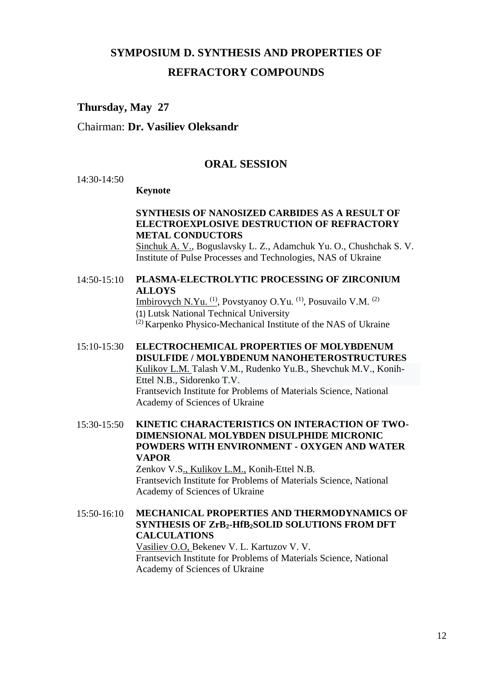# **SYMPOSIUM D. SYNTHESIS AND PROPERTIES OF REFRACTORY COMPOUNDS**

## **Thursday, May 27**

## Chairman: **Dr. Vasiliev Oleksandr**

#### **ORAL SESSION**

14:30-14:50

#### **Keynote**

### **SYNTHESIS OF NANOSIZED CARBIDES AS A RESULT OF ELECTROEXPLOSIVE DESTRUCTION OF REFRACTORY METAL CONDUCTORS**

Sinchuk A. V., Boguslavsky L. Z., Adamchuk Yu. O., Chushchak S. V. Institute of Pulse Processes and Technologies, NAS of Ukraine

#### 14:50-15:10 **PLASMA-ELECTROLYTIC PROCESSING OF ZIRCONIUM ALLOYS**

Imbirovych N.Yu.<sup>(1)</sup>, Povstyanoy O.Yu.<sup>(1)</sup>, Posuvailo V.M.<sup>(2)</sup> (1) Lutsk National Technical University

(2) Karpenko Physico-Mechanical Institute of the NAS of Ukraine

15:10-15:30 **ELECTROCHEMICAL PROPERTIES OF MOLYBDENUM DISULFIDE / MOLYBDENUM NANOHETEROSTRUCTURES** Kulikov L.M. Talash V.M., Rudenko Yu.B., Shevchuk M.V., Konih-Ettel N.B., Sidorenko T.V. Frantsevich Institute for Problems of Materials Science, National Academy of Sciences of Ukraine

#### 15:30-15:50 **KINETIC CHARACTERISTICS ON INTERACTION OF TWO-DIMENSIONAL MOLYBDEN DISULPHIDE MICRONIC POWDERS WITH ENVIRONMENT - OXYGEN AND WATER VAPOR**

Zenkov V.S., Kulikov L.M., Konih-Ettel N.B. Frantsevich Institute for Problems of Materials Science, National Academy of Sciences of Ukraine

#### 15:50-16:10 **MECHANICAL PROPERTIES AND THERMODYNAMICS OF SYNTHESIS OF ZrB2-HfB2SOLID SOLUTIONS FROM DFT CALCULATIONS** Vasiliev O.O, Bekenev V. L. Kartuzov V. V. Frantsevich Institute for Problems of Materials Science, National Academy of Sciences of Ukraine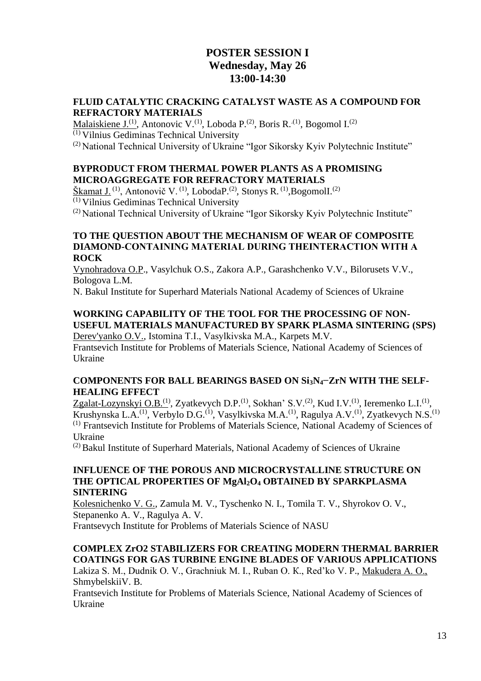## **POSTER SESSION I Wednesday, May 26 13:00-14:30**

#### **FLUID CATALYTIC CRACKING CATALYST WASTE AS A COMPOUND FOR REFRACTORY MATERIALS**

Malaiskiene J.<sup>(1)</sup>, Antonovic V.<sup>(1)</sup>, Loboda P.<sup>(2)</sup>, Boris R.<sup>(1)</sup>, Bogomol I.<sup>(2)</sup> (1) Vilnius Gediminas Technical University (2) National Technical University of Ukraine "Igor Sikorsky Kyiv Polytechnic Institute"

#### **BYPRODUCT FROM THERMAL POWER PLANTS AS A PROMISING MICROAGGREGATE FOR REFRACTORY MATERIALS**

Škamat J. <sup>(1)</sup>, Antonovič V. <sup>(1)</sup>, LobodaP. <sup>(2)</sup>, Stonys R. <sup>(1)</sup>, BogomolI. <sup>(2)</sup>

(1) Vilnius Gediminas Technical University

(2) National Technical University of Ukraine "Igor Sikorsky Kyiv Polytechnic Institute"

#### **TO THE QUESTION ABOUT THE MECHANISM OF WEAR OF COMPOSITE DIAMOND-CONTAINING MATERIAL DURING THEINTERACTION WITH А ROCK**

Vynohradova O.P., Vasylchuk O.S., Zakora A.P., Garashchenko V.V., Bilorusets V.V., Bologova L.M.

N. Bakul Institute for Superhard Materials National Academy of Sciences of Ukraine

## **WORKING CAPABILITY OF THE TOOL FOR THE PROCESSING OF NON-USEFUL MATERIALS MANUFACTURED BY SPARK PLASMA SINTERING (SPS)**

Derev'yanko O.V., Istomina T.І., Vasylkivska M.A., Karpets M.V. Frantsevich Institute for Problems of Materials Science, National Academy of Sciences of Ukraine

#### **COMPONENTS FOR BALL BEARINGS BASED ON Si3N4−ZrN WITH THE SELF-HEALING EFFECT**

Zgalat-Lozynskyi O.B.<sup>(1)</sup>, Zyatkevych D.P.<sup>(1)</sup>, Sokhan' S.V.<sup>(2)</sup>, Kud I.V.<sup>(1)</sup>, Ieremenko L.I.<sup>(1)</sup>, Krushynska L.A.<sup>(1)</sup>, Verbylo D.G.<sup>(1)</sup>, Vasylkivska M.A.<sup>(1)</sup>, Ragulya A.V.<sup>(1)</sup>, Zyatkevych N.S.<sup>(1)</sup> (1) Frantsevich Institute for Problems of Materials Science, National Academy of Sciences of Ukraine

 $(2)$ Bakul Institute of Superhard Materials, National Academy of Sciences of Ukraine

#### **INFLUENCE OF THE POROUS AND MICROCRYSTALLINE STRUCTURE ON THE OPTICAL PROPERTIES OF MgAl2O<sup>4</sup> OBTAINED BY SPARKPLASMA SINTERING**

Kolesnichenko V. G., Zamula M. V., Tyschenko N. I., Tomila T. V., Shyrokov O. V., Stepanenko A. V., Ragulya A. V. Frantsevych Institute for Problems of Materials Science of NASU

# **COMPLEX ZrO2 STABILIZERS FOR CREATING MODERN THERMAL BARRIER COATINGS FOR GAS TURBINE ENGINE BLADES OF VARIOUS APPLICATIONS**

Lakiza S. М., Dudnik О. V., Grachniuk М. І., Ruban О. К., Red'ko V. P., Маkudera A. О., ShmybelskiiV. B.

Frantsevich Institute for Problems of Materials Science, National Academy of Sciences of Ukraine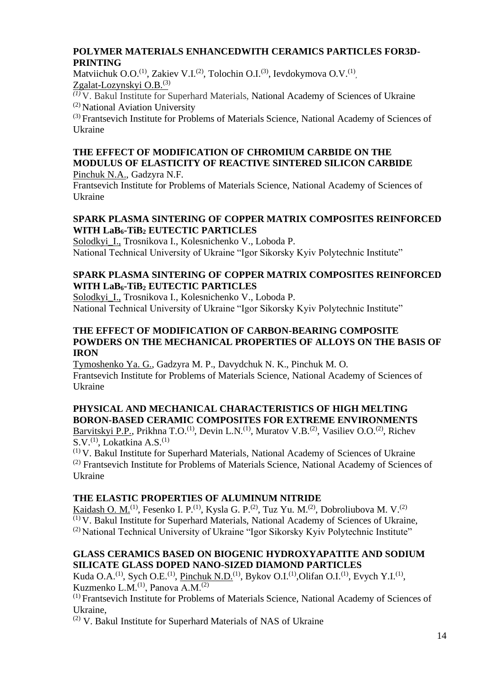## **POLYMER MATERIALS ENHANCEDWITH CERAMICS PARTICLES FOR3D-PRINTING**

Matviichuk O.O.<sup>(1)</sup>, Zakiev V.I.<sup>(2)</sup>, Tolochin O.I.<sup>(3)</sup>, Ievdokymova O.V.<sup>(1)</sup>, Zgalat-Lozynskyi O.B.(3)

*(1)* V. Bakul Institute for Superhard Materials, National Academy of Sciences of Ukraine (2) National Aviation University

(3) Frantsevich Institute for Problems of Materials Science, National Academy of Sciences of Ukraine

# **THE EFFECT OF MODIFICATION OF CHROMIUM CARBIDE ON THE MODULUS OF ELASTICITY OF REACTIVE SINTERED SILICON CARBIDE**

Pinchuk N.A., Gadzyra N.F.

Frantsevich Institute for Problems of Materials Science, National Academy of Sciences of Ukraine

## **SPARK PLASMA SINTERING OF COPPER MATRIX COMPOSITES REINFORCED WITH LaB6-TiB<sup>2</sup> EUTECTIC PARTICLES**

Solodkyi\_I., Trosnikova I., Kolesnichenko V., Loboda P. National Technical University of Ukraine "Igor Sikorsky Kyiv Polytechnic Institute"

## **SPARK PLASMA SINTERING OF COPPER MATRIX COMPOSITES REINFORCED WITH LaB6-TiB<sup>2</sup> EUTECTIC PARTICLES**

Solodkyi\_I., Trosnikova I., Kolesnichenko V., Loboda P. National Technical University of Ukraine "Igor Sikorsky Kyiv Polytechnic Institute"

#### **THE EFFECT OF MODIFICATION OF CARBON-BEARING COMPOSITE POWDERS ON THE MECHANICAL PROPERTIES OF ALLOYS ON THE BASIS OF IRON**

Tymoshenko Ya. G., Gadzyra M. P., Davydchuk N. K., Pinchuk M. O. Frantsevich Institute for Problems of Materials Science, National Academy of Sciences of Ukraine

## **PHYSICAL AND MECHANICAL CHARACTERISTICS OF HIGH MELTING BORON-BASED CERAMIC COMPOSITES FOR EXTREME ENVIRONMENTS**

Barvitskyi P.P., Prikhna T.O.<sup>(1)</sup>, Devin L.N.<sup>(1)</sup>, Muratov V.B.<sup>(2)</sup>, Vasiliev O.O.<sup>(2)</sup>, Richev  $S.V.<sup>(1)</sup>$ , Lokatkina A.S.<sup>(1)</sup>

 $(1)$  V. Bakul Institute for Superhard Materials, National Academy of Sciences of Ukraine (2) Frantsevich Institute for Problems of Materials Science, National Academy of Sciences of Ukraine

## **THE ELASTIC PROPERTIES OF ALUMINUM NITRIDE**

Kaidash O. M.<sup>(1)</sup>, Fesenko I. P.<sup>(1)</sup>, Kysla G. P.<sup>(2)</sup>, Tuz Yu. M.<sup>(2)</sup>, Dobroliubova M. V.<sup>(2)</sup> (1) V. Bakul Institute for Superhard Materials, National Academy of Sciences of Ukraine, <sup>(2)</sup> National Technical University of Ukraine "Igor Sikorsky Kyiv Polytechnic Institute"

## **GLASS CERAMICS BASED ON BIOGENIC HYDROXYAPATITE AND SODIUM SILICATE GLASS DOPED NANO-SIZED DIAMOND PARTICLES**

Kuda O.A.<sup>(1)</sup>, Sych O.E.<sup>(1)</sup>, Pinchuk N.D.<sup>(1)</sup>, Bykov O.I.<sup>(1)</sup>, Olifan O.I.<sup>(1)</sup>, Evych Y.I.<sup>(1)</sup>, Kuzmenko L.M.<sup>(1)</sup>, Panova A.M.<sup>(2)</sup>

(1) Frantsevich Institute for Problems of Materials Science, National Academy of Sciences of Ukraine,

(2) V. Bakul Institute for Superhard Materials of NAS of Ukraine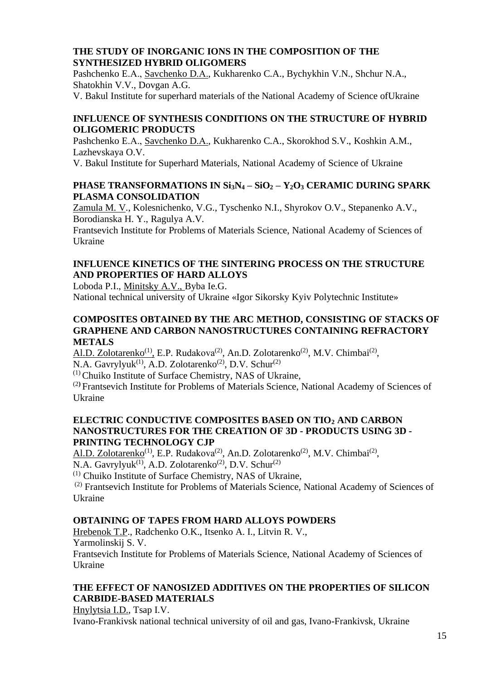### **THE STUDY OF INORGANIC IONS IN THE COMPOSITION OF THE SYNTHESIZED HYBRID OLIGOMERS**

Pashchenko E.А., Savchenko D.А., Kukharenko C.A., Bychykhin V.N., Shchur N.A., Shatokhin V.V., Dovgan A.G.

V. Bakul Institute for superhard materials of the National Academy of Science ofUkraine

## **INFLUENCE OF SYNTHESIS CONDITIONS ON THE STRUCTURE OF HYBRID OLIGOMERIC PRODUCTS**

Pashchenko E.А., Savchenko D.А., Kukharenko C.A., Skorokhod S.V., Koshkin A.M., Lazhevskaya O.V.

V. Bakul Institute for Superhard Materials, National Academy of Science of Ukraine

## **PHASE TRANSFORMATIONS IN Si3N<sup>4</sup> – SiO<sup>2</sup> – Y2O<sup>3</sup> CERAMIC DURING SPARK PLASMA CONSOLIDATION**

Zamula M. V., Kolesnichenko, V.G., Tyschenko N.I., Shyrokov O.V., Stepanenko A.V., Borodianska H. Y., Ragulya A.V.

Frantsevich Institute for Problems of Materials Science, National Academy of Sciences of Ukraine

## **INFLUENCE KINETICS OF THE SINTERING PROCESS ON THE STRUCTURE AND PROPERTIES OF HARD ALLOYS**

Loboda P.I., Minitsky A.V., Byba Ie.G.

National technical university of Ukraine «Igor Sikorsky Kyiv Polytechnic Institute»

#### **COMPOSITES OBTAINED BY THE ARC METHOD, CONSISTING OF STACKS OF GRAPHENE AND CARBON NANOSTRUCTURES CONTAINING REFRACTORY METALS**

Al.D. Zolotarenko<sup>(1)</sup>, E.P. Rudakova<sup>(2)</sup>, An.D. Zolotarenko<sup>(2)</sup>, M.V. Chimbai<sup>(2)</sup>, N.A. Gavrylyuk<sup>(1)</sup>, A.D. Zolotarenko<sup>(2)</sup>, D.V. Schur<sup>(2)</sup>

 $(1)$ Chuiko Institute of Surface Chemistry, NAS of Ukraine,

(2**)** Frantsevich Institute for Problems of Materials Science, National Academy of Sciences of Ukraine

#### **ELECTRIC CONDUCTIVE COMPOSITES BASED ON TIO<sup>2</sup> AND CARBON NANOSTRUCTURES FOR THE CREATION OF 3D - PRODUCTS USING 3D - PRINTING TECHNOLOGY CJP**

Al.D. Zolotarenko<sup>(1)</sup>, E.P. Rudakova<sup>(2)</sup>, An.D. Zolotarenko<sup>(2)</sup>, M.V. Chimbai<sup>(2)</sup>, N.A. Gavrylyuk<sup>(1)</sup>, A.D. Zolotarenko<sup>(2)</sup>, D.V. Schur<sup>(2)</sup>

 $(1)$  Chuiko Institute of Surface Chemistry, NAS of Ukraine,

(2) Frantsevich Institute for Problems of Materials Science, National Academy of Sciences of Ukraine

## **OBTAINING OF TAPES FROM HARD ALLOYS POWDERS**

Hrebenok T.P., Radchenko O.K., Itsenko A. I., Litvin R. V., Yarmolinskij S. V.

Frantsevich Institute for Problems of Materials Science, National Academy of Sciences of Ukraine

## **THE EFFECT OF NANOSIZED ADDITIVES ON THE PROPERTIES OF SILICON CARBIDE-BASED MATERIALS**

Hnylytsia I.D., Tsap I.V.

Ivano-Frankivsk national technical university of oil and gas, Ivano-Frankivsk, Ukraine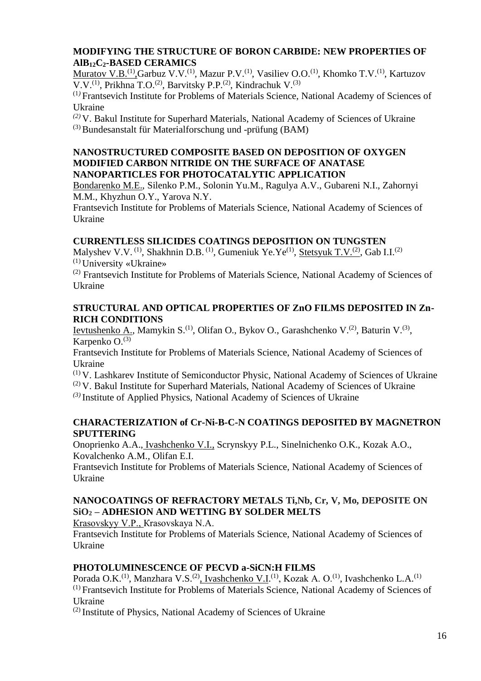## **MODIFYING THE STRUCTURE OF BORON CARBIDE: NEW PROPERTIES OF AlB12C2-BASED CERAMICS**

Muratov V.B.<sup>(1)</sup>,Garbuz V.V.<sup>(1)</sup>, Mazur P.V.<sup>(1)</sup>, Vasiliev O.O.<sup>(1)</sup>, Khomko T.V.<sup>(1)</sup>, Kartuzov V.V.<sup>(1)</sup>, Prikhna T.O.<sup>(2)</sup>, Barvitsky P.P.<sup>(2)</sup>, Kindrachuk V.<sup>(3)</sup>

(1*)* Frantsevich Institute for Problems of Materials Science, National Academy of Sciences of Ukraine

*(2)* V. Bakul Institute for Superhard Materials, National Academy of Sciences of Ukraine  $(3)$ Bundesanstalt für Materialforschung und -prüfung (BAM)

#### **NANOSTRUCTURED COMPOSITE BASED ON DEPOSITION OF OXYGEN MODIFIED CARBON NITRIDE ON THE SURFACE OF ANATASE NANOPARTICLES FOR PHOTOCATALYTIC APPLICATION**

Bondarenko M.E., Silenko P.M., Solonin Yu.M., Ragulya A.V., Gubareni N.I., Zahornyi M.M., Khyzhun O.Y., Yarova N.Y.

Frantsevich Institute for Problems of Materials Science, National Academy of Sciences of Ukraine

## **CURRENTLESS SILICIDES COATINGS DEPOSITION ON TUNGSTEN**

Malyshev V.V. <sup>(1)</sup>, Shakhnin D.B. <sup>(1)</sup>, Gumeniuk Ye.Ye<sup>(1)</sup>, <u>Stetsyuk T.V. <sup>(2)</sup></u>, Gab I.I. <sup>(2)</sup>  $^{(1)}$  University «Ukraine»

(2) Frantsevich Institute for Problems of Materials Science, National Academy of Sciences of Ukraine

#### **STRUCTURAL AND OPTICAL PROPERTIES OF ZnO FILMS DEPOSITED IN Zn-RICH CONDITIONS**

Ievtushenko A., Mamykin S.<sup>(1)</sup>, Olifan O., Bykov O., Garashchenko V.<sup>(2)</sup>, Baturin V.<sup>(3)</sup>, Karpenko  $O^{(3)}$ 

Frantsevich Institute for Problems of Materials Science, National Academy of Sciences of Ukraine

 $(1)$  V. Lashkarev Institute of Semiconductor Physic, National Academy of Sciences of Ukraine  $(2)$  V. Bakul Institute for Superhard Materials, National Academy of Sciences of Ukraine *(3)* Institute of Applied Physics, National Academy of Sciences of Ukraine

#### **CHARACTERIZATION of Cr-Ni-B-C-N COATINGS DEPOSITED BY MAGNETRON SPUTTERING**

Onoprienko A.A., Ivashchenko V.I., Scrynskyy P.L., Sinelnichenko O.K., Kozak A.O., Kovalchenko A.M., Olifan E.I.

Frantsevich Institute for Problems of Materials Science, National Academy of Sciences of Ukraine

#### **NANOCOATINGS OF REFRACTORY METALS Ti,Nb, Cr, V, Mo, DEPOSITE ON SiO<sup>2</sup> – ADHESION AND WETTING BY SOLDER MELTS**

Кrasovskyy V.P., Кrasovskaya N.А.

Frantsevich Institute for Problems of Materials Science, National Academy of Sciences of Ukraine

#### **PHOTOLUMINESCENCE OF PECVD a-SiCN:H FILMS**

Porada O.K.<sup>(1)</sup>, Manzhara V.S.<sup>(2)</sup>, Ivashchenko V.I.<sup>(1)</sup>, Kozak A. O.<sup>(1)</sup>, Ivashchenko L.A.<sup>(1)</sup> (1) Frantsevich Institute for Problems of Materials Science, National Academy of Sciences of Ukraine

(2) Institute of Physics, National Academy of Sciences of Ukraine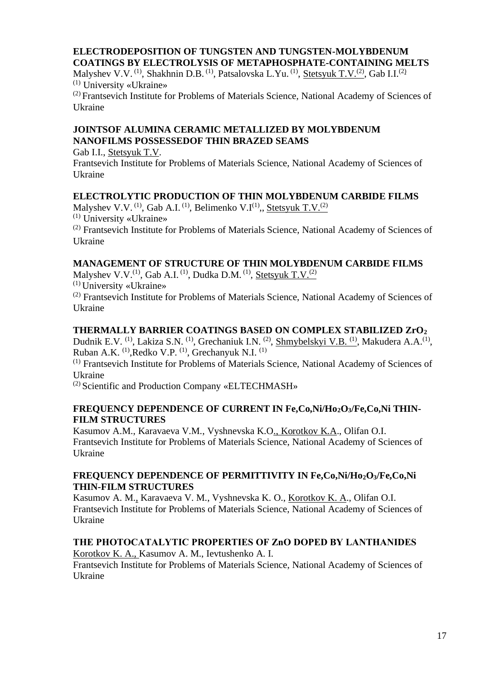## **ELECTRODEPOSITION OF TUNGSTEN AND TUNGSTEN-MOLYBDENUM COATINGS BY ELECTROLYSIS OF METAPHOSPHATE-CONTAINING MELTS**

Malyshev V.V. <sup>(1)</sup>, Shakhnin D.B. <sup>(1)</sup>, Patsalovska L.Yu. <sup>(1)</sup>, <u>Stetsyuk T.V. <sup>(2)</sup></u>, Gab I.I. <sup>(2)</sup> (1) University «Ukraine»

(2) Frantsevich Institute for Problems of Materials Science, National Academy of Sciences of Ukraine

## **JOINTSOF ALUMINA CERAMIC METALLIZED BY MOLYBDENUM NANOFILMS POSSESSEDOF THIN BRAZED SEAMS**

Gab I.I., Stetsyuk T.V. Frantsevich Institute for Problems of Materials Science, National Academy of Sciences of Ukraine

## **ELECTROLYTIC PRODUCTION OF THIN MOLYBDENUM CARBIDE FILMS**

Malyshev V.V.<sup>(1)</sup>, Gab A.I.<sup>(1)</sup>, Belimenko V.I<sup>(1)</sup>,, <u>Stetsyuk T.V.<sup>(2)</sup></u>  $(1)$  University «Ukraine»

(2) Frantsevich Institute for Problems of Materials Science, National Academy of Sciences of Ukraine

## **MANAGEMENT OF STRUCTURE OF THIN MOLYBDENUM CARBIDE FILMS**

Malyshev V.V.<sup>(1)</sup>, Gab A.I. <sup>(1)</sup>, Dudka D.M. <sup>(1)</sup>, <u>Stetsyuk T.V. <sup>(2)</sup></u>

(1) University «Ukraine»

(2) Frantsevich Institute for Problems of Materials Science, National Academy of Sciences of Ukraine

## **THERMALLY BARRIER COATINGS BASED ON COMPLEX STABILIZED ZrO<sup>2</sup>**

Dudnik E.V. <sup>(1)</sup>, Lakiza S.N. <sup>(1)</sup>, Grechaniuk I.N. <sup>(2)</sup>, <u>Shmybelskyi V.B. <sup>(1)</sup></u>, Makudera A.A.<sup>(1)</sup>, Ruban A.K. <sup>(1)</sup>, Redko V.P. <sup>(1)</sup>, Grechanyuk N.I. <sup>(1)</sup>

(1) Frantsevich Institute for Problems of Materials Science, National Academy of Sciences of Ukraine

(2) Scientific and Production Company «ELTECHMASH»

#### **FREQUENCY DEPENDENCE OF CURRENT IN Fe,Co,Ni/Ho2O3/Fe,Co,Ni THIN-FILM STRUCTURES**

Kasumov A.M., Karavaeva V.M., Vyshnevska K.O., Korotkov K.A., Olifan O.I. Frantsevich Institute for Problems of Materials Science, National Academy of Sciences of Ukraine

#### **FREQUENCY DEPENDENCE OF PERMITTIVITY IN Fe,Co,Ni/Ho2O3/Fe,Co,Ni THIN-FILM STRUCTURES**

Kasumov A. M., Karavaeva V. M., Vyshnevska K. O., Korotkov K. A., Olifan O.I. Frantsevich Institute for Problems of Materials Science, National Academy of Sciences of Ukraine

## **THE PHOTOCATALYTIC PROPERTIES OF ΖnO DOPED BY LANTHANIDES**

Korotkov K. A., Kasumov A. M., Ievtushenko A. I. Frantsevich Institute for Problems of Materials Science, National Academy of Sciences of Ukraine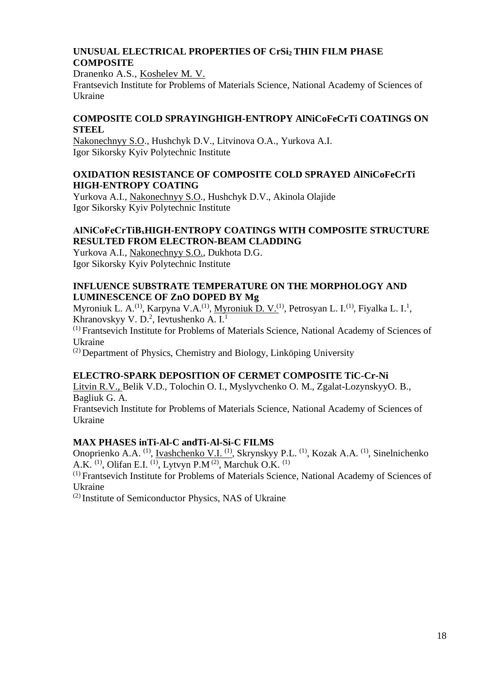## **UNUSUAL ELECTRICAL PROPERTIES OF CrSi2 THIN FILM PHASE COMPOSITE**

Dranenko A.S., Koshelev M. V.

Frantsevich Institute for Problems of Materials Science, National Academy of Sciences of Ukraine

#### **COMPOSITE COLD SPRAYINGHIGH-ENTROPY AlNiCoFeCrTi COATINGS ON STEEL**

Nakonechnyy S.O., Hushchyk D.V., Litvinova O.A., Yurkova A.I. Igor Sikorsky Kyiv Polytechnic Institute

#### **OXIDATION RESISTANCE OF COMPOSITE COLD SPRAYED AlNiCoFeCrTi HIGH-ENTROPY COATING**

Yurkova A.I., Nakonechnyy S.O., Hushchyk D.V., Akinola Olajide Igor Sikorsky Kyiv Polytechnic Institute

### **AlNiCoFeCrTiВхHIGH-ENTROPY COATINGS WITH COMPOSITE STRUCTURE RESULTED FROM ELECTRON-BEAM CLADDING**

Yurkova A.I., Nakonechnyy S.O., Dukhota D.G. Igor Sikorsky Kyiv Polytechnic Institute

#### **INFLUENCE SUBSTRATE TEMPERATURE ON THE MORPHOLOGY AND LUMINESCENCE OF ZnO DOPED BY Mg**

Myroniuk L. A.<sup>(1)</sup>, Karpyna V.A.<sup>(1)</sup>, <u>Myroniuk D. V.<sup>(1)</sup></u>, Petrosyan L. I.<sup>(1)</sup>, Fiyalka L. I.<sup>1</sup>, Khranovskyy V. D.<sup>2</sup>, Ievtushenko A. I.<sup>1</sup>

(1) Frantsevich Institute for Problems of Materials Science, National Academy of Sciences of Ukraine

 $^{(2)}$  Department of Physics, Chemistry and Biology, Linköping University

#### **ELECTRO-SPARK DEPOSITION OF CERMET COMPOSITE TiC-Cr-Ni**

Litvin R.V., Belik V.D., Tolochin O. I., Myslyvchenko O. M., Zgalat-LozynskyyO. B., Bagliuk G. A.

Frantsevich Institute for Problems of Materials Science, National Academy of Sciences of Ukraine

#### **MAX PHASES inTi-Al-C andTi-Al-Si-C FILMS**

Onoprienko A.A. <sup>(1)</sup>, <u>Ivashchenko V.I. <sup>(1)</sup></u>, Skrynskyy P.L. <sup>(1)</sup>, Kozak A.A. <sup>(1)</sup>, Sinelnichenko A.K.  $<sup>(1)</sup>$ , Olifan E.I.  $<sup>(1)</sup>$ , Lytvyn P.M $<sup>(2)</sup>$ , Marchuk O.K.  $<sup>(1)</sup>$ </sup></sup></sup></sup>

(1) Frantsevich Institute for Problems of Materials Science, National Academy of Sciences of Ukraine

(2) Institute of Semiconductor Physics, NAS of Ukraine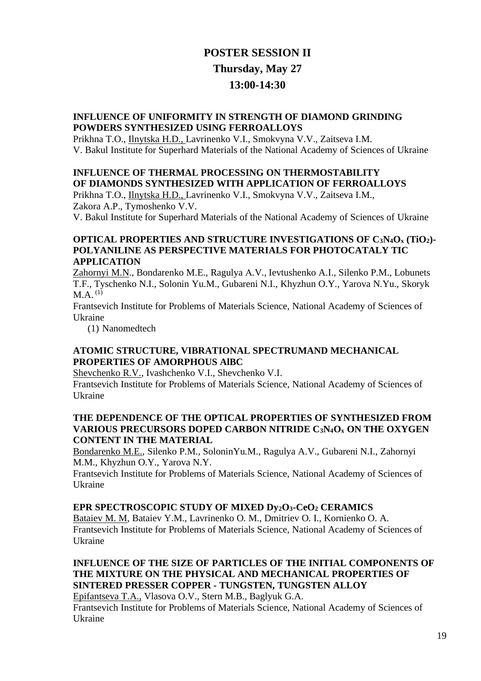# **POSTER SESSION II Thursday, May 27 13:00-14:30**

#### **INFLUENCE OF UNIFORMITY IN STRENGTH OF DIAMOND GRINDING POWDERS SYNTHESIZED USING FERROALLOYS**

Prikhna T.O., Ilnytska H.D., Lavrinenko V.I., Smokvyna V.V., Zaitseva I.M. V. Bakul Institute for Superhard Materials of the National Academy of Sciences of Ukraine

## **INFLUENCE OF THERMAL PROCESSING ON THERMOSTABILITY OF DIAMONDS SYNTHESIZED WITH APPLICATION OF FERROALLOYS**

Prikhna T.O., Ilnytska H.D., Lavrinenko V.I., Smokvyna V.V., Zaitseva I.M., Zakora A.P., Tymoshenko V.V.

V. Bakul Institute for Superhard Materials of the National Academy of Sciences of Ukraine

#### **OPTICAL PROPERTIES AND STRUCTURE INVESTIGATIONS OF C3N4O<sup>x</sup> (TiO2)- POLYANILINE AS PERSPECTIVE MATERIALS FOR PHOTOCATALY TIC APPLICATION**

Zahornyi M.N., Bondarenko M.E., Ragulya А*.*V., Ievtushenko A.I., Silenko P.M., Lobunets T.F., Tyschenko N.I., Solonin Yu.M., Gubareni N.I., Khyzhun O.Y., Yarova N.Yu., Skoryk  $M.A.$ <sup>(1)</sup>

Frantsevich Institute for Problems of Materials Science, National Academy of Sciences of Ukraine

(1) Nanomedtech

#### **ATOMIC STRUCTURE, VIBRATIONAL SPECTRUMAND MECHANICAL PROPERTIES OF AMORPHOUS AlBC**

Shevchenko R.V., Ivashchenko V.I., Shevchenko V.I.

Frantsevich Institute for Problems of Materials Science, National Academy of Sciences of Ukraine

#### **THE DEPENDENCE OF THE OPTICAL PROPERTIES OF SYNTHESIZED FROM VARIOUS PRECURSORS DOPED CARBON NITRIDE C3N4O<sup>x</sup> ON THE OXYGEN CONTENT IN THE MATERIAL**

Bondarenko M.E., Silenko P.M., SoloninYu.M., Ragulya A.V., Gubareni N.I., Zahornyi M.M., Khyzhun O.Y., Yarova N.Y.

Frantsevich Institute for Problems of Materials Science, National Academy of Sciences of Ukraine

#### **EPR SPECTROSCOPIC STUDY OF MIXED Dy2O3-CeO<sup>2</sup> CERAMICS**

Bataiev M. M, Bataiev Y.M., Lavrinenko O. M., Dmitriev O. I., Kornienko O. A. Frantsevich Institute for Problems of Materials Science, National Academy of Sciences of Ukraine

## **INFLUENCE OF THE SIZE OF PARTICLES OF THE INITIAL COMPONENTS OF THE MIXTURE ON THE PHYSICAL AND MECHANICAL PROPERTIES OF SINTERED PRESSER COPPER - TUNGSTEN, TUNGSTEN ALLOY**

Epifantseva T.A., Vlasova O.V., Stern M.B., Baglyuk G.A.

Frantsevich Institute for Problems of Materials Science, National Academy of Sciences of Ukraine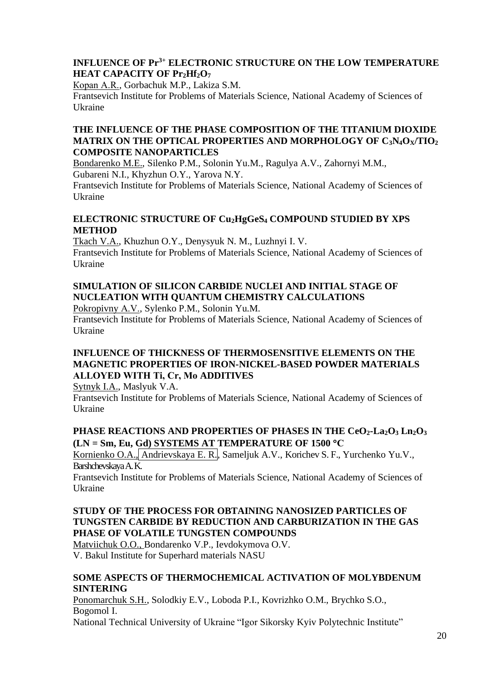## **INFLUENCE OF Pr3+ ELECTRONIC STRUCTURE ON THE LOW TEMPERATURE HEAT CAPACITY OF Pr2Hf2O<sup>7</sup>**

Коpаn А.R., Gorbachuk M.P., Lakiza S.M.

Frantsevich Institute for Problems of Materials Science, National Academy of Sciences of Ukraine

## **THE INFLUENCE OF THE PHASE COMPOSITION OF THE TITANIUM DIOXIDE MATRIX ON THE OPTICAL PROPERTIES AND MORPHOLOGY OF C3N4OX/TIO<sup>2</sup> COMPOSITE NANOPARTICLES**

Bondarenko M.E., Silenko P.M., Solonin Yu.M., Ragulya A.V., Zahornyi M.M., Gubareni N.I., Khyzhun O.Y., Yarova N.Y.

Frantsevich Institute for Problems of Materials Science, National Academy of Sciences of Ukraine

### **ELECTRONIC STRUCTURE OF Cu2HgGeS<sup>4</sup> COMPOUND STUDIED BY XPS METHOD**

Tkach V.A., Khuzhun O.Y., Denysyuk N. M., Luzhnyi I. V. Frantsevich Institute for Problems of Materials Science, National Academy of Sciences of

# Ukraine **SIMULATION OF SILICON CARBIDE NUCLEI AND INITIAL STAGE OF**

## **NUCLEATION WITH QUANTUM CHEMISTRY CALCULATIONS**

Pokropivny А.V., Sylenko P.M., Solonin Yu.M.

Frantsevich Institute for Problems of Materials Science, National Academy of Sciences of Ukraine

#### **INFLUENCE OF THICKNESS OF THERMOSENSITIVE ELEMENTS ON THE MAGNETIC PROPERTIES OF IRON-NICKEL-BASED POWDER MATERIALS ALLOYED WITH Tі, Cr, Mo ADDITIVES**

Sytnyk I.A., Maslyuk V.A.

Frantsevich Institute for Problems of Materials Science, National Academy of Sciences of Ukraine

## **PHASE REACTIONS AND PROPERTIES OF PHASES IN THE CeO2-La2O<sup>3</sup> Ln2O<sup>3</sup> (LN = Sm, Eu, Gd) SYSTEMS AT TEMPERATURE OF 1500 С**

Kornienko O.A., Andrievskaya E. R., Sameljuk A.V., Korichev S. F., Yurchenko Yu.V., Barshchevskaya A. K.

Frantsevich Institute for Problems of Materials Science, National Academy of Sciences of Ukraine

#### **STUDY OF THE PROCESS FOR OBTAINING NANOSIZED PARTICLES OF TUNGSTEN CARBIDE BY REDUCTION AND CARBURIZATION IN THE GAS PHASE OF VOLATILE TUNGSTEN COMPOUNDS**

Matviichuk O.O., Bondarenko V.P., Ievdokymova O.V. V. Bakul Institute for Superhard materials NASU

#### **SOME ASPECTS OF THERMOCHEMICAL ACTIVATION OF MOLYBDENUM SINTERING**

Ponomarchuk S.H., Solodkiy E.V., Loboda P.I., Kovrizhko O.M., Brychko S.O., Bogomol I.

National Technical University of Ukraine "Igor Sikorsky Kyiv Polytechnic Institute"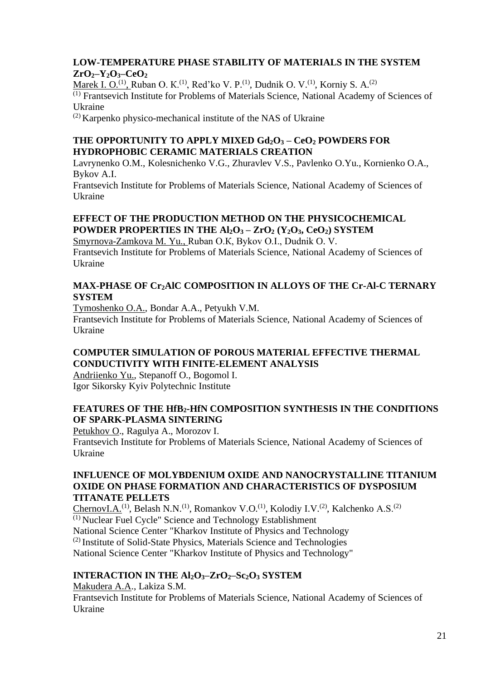## **LOW-TEMPERATURE PHASE STABILITY OF MATERIALS IN THE SYSTEM ZrO2–Y2O3–CeO<sup>2</sup>**

Marek I. O.<sup>(1)</sup>, Ruban O. K.<sup>(1)</sup>, Red'ko V. P.<sup>(1)</sup>, Dudnik O. V.<sup>(1)</sup>, Korniy S. A.<sup>(2)</sup>

(1) Frantsevich Institute for Problems of Materials Science, National Academy of Sciences of Ukraine

(2) Karpenko physico-mechanical institute of the NAS of Ukraine

## **THE OPPORTUNITY TO APPLY MIXED Gd2O<sup>3</sup> – CeO<sup>2</sup> POWDERS FOR HYDROPHOBIC CERAMIC MATERIALS CREATION**

Lavrynenko O.M., Kolesnichenko V.G., Zhuravlev V.S., Pavlenko O.Yu., Kornienko O.A., Bykov A.I.

Frantsevich Institute for Problems of Materials Science, National Academy of Sciences of Ukraine

## **EFFECT OF THE PRODUCTION METHOD ON THE PHYSICOCHEMICAL POWDER PROPERTIES IN THE Al2O<sup>3</sup> – ZrO<sup>2</sup> (Y2O3, CeO2) SYSTEM**

Smyrnova-Zamkova M. Yu., Ruban О.К, Bykov O.I., Dudnik O. V. Frantsevich Institute for Problems of Materials Science, National Academy of Sciences of Ukraine

### **MAX-PHASE OF Cr2AlC COMPOSITION IN ALLOYS OF THE Cr-Al-C TERNARY SYSTEM**

Tymoshenko O.A., Bondar A.A., Petyukh V.M.

Frantsevich Institute for Problems of Materials Science, National Academy of Sciences of Ukraine

## **COMPUTER SIMULATION OF POROUS MATERIAL EFFECTIVE THERMAL CONDUCTIVITY WITH FINITE-ELEMENT ANALYSIS**

Andriienko Yu., Stepanoff O., Bogomol I. Igor Sikorsky Kyiv Polytechnic Institute

## **FEATURES OF THE HfB2-HfN COMPOSITION SYNTHESIS IN THE CONDITIONS OF SPARK-PLASMA SINTERING**

Petukhov O., Ragulya A., Morozov I. Frantsevich Institute for Problems of Materials Science, National Academy of Sciences of Ukraine

#### **INFLUENCE OF MOLYBDENIUM OXIDE AND NANOCRYSTALLINE TITANIUM OXIDE ON PHASE FORMATION AND CHARACTERISTICS OF DYSPOSIUM TITANATE PELLETS**

ChernovI.A.<sup>(1)</sup>, Belash N.N.<sup>(1)</sup>, Romankov V.O.<sup>(1)</sup>, Kolodiy I.V.<sup>(2)</sup>, Kalchenko A.S.<sup>(2)</sup> (1) Nuclear Fuel Cycle" Science and Technology Establishment National Science Center "Kharkov Institute of Physics and Technology (2) Institute of Solid-State Physics, Materials Science and Technologies National Science Center "Kharkov Institute of Physics and Technology"

## **INTERACTION IN THE Al2O3‒ZrO2‒Sc2O<sup>3</sup> SYSTEM**

Makudera A.A., Lakiza S.M. Frantsevich Institute for Problems of Materials Science, National Academy of Sciences of Ukraine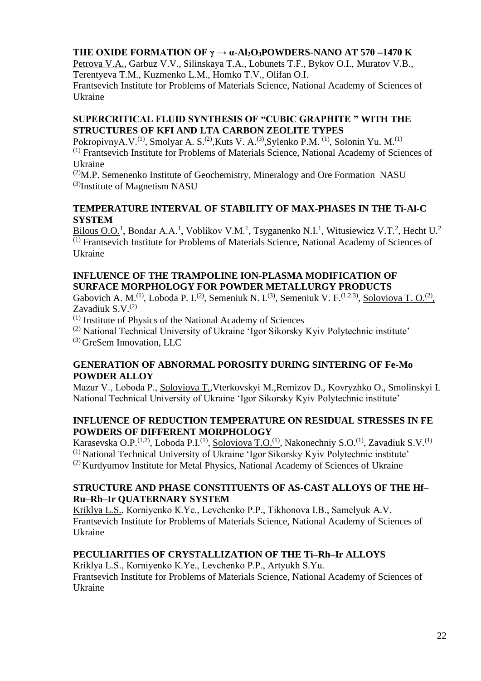## **THE OXIDE FORMATION OF**  $\gamma \rightarrow \alpha$ **-Al<sub>2</sub>O**<sub>3</sub>**POWDERS-NANO AT 570 −1470 K**

Petrova V.A., Garbuz V.V., Silinskaya T.A., Lobunets T.F., Bykov O.I., Muratov V.B., Terentyeva T.M., Kuzmenko L.M., Homko T.V., Olifan O.I.

Frantsevich Institute for Problems of Materials Science, National Academy of Sciences of Ukraine

#### **SUPERCRITICAL FLUID SYNTHESIS OF "CUBIC GRAPHITE " WITH THE STRUCTURES OF KFI AND LTA CARBON ZEOLITE TYPES**

PokropivnyA.V.<sup>(1)</sup>, Smolyar A. S.<sup>(2)</sup>,Kuts V. A.<sup>(3)</sup>,Sylenko P.M.<sup>(1)</sup>, Solonin Yu. M.<sup>(1)</sup> (1) Frantsevich Institute for Problems of Materials Science, National Academy of Sciences of Ukraine

 $^{(2)}$ M.P. Semenenko Institute of Geochemistry, Mineralogy and Ore Formation NASU (3) Institute of Magnetism NASU

#### **TEMPERATURE INTERVAL OF STABILITY OF MAX-PHASES IN THE Ti-Al-C SYSTEM**

Bilous O.O.<sup>1</sup>, Bondar A.A.<sup>1</sup>, Voblikov V.M.<sup>1</sup>, Tsyganenko N.I.<sup>1</sup>, Witusiewicz V.T.<sup>2</sup>, Hecht U.<sup>2</sup> (1) Frantsevich Institute for Problems of Materials Science, National Academy of Sciences of Ukraine

### **INFLUENCE OF THE TRAMPOLINE ION-PLASMA MODIFICATION OF SURFACE MORPHOLOGY FOR POWDER METALLURGY PRODUCTS**

Gabovich A. M.<sup>(1)</sup>, Loboda P. I.<sup>(2)</sup>, Semeniuk N. I.<sup>(3)</sup>, Semeniuk V. F.<sup>(1,2,3)</sup>, <u>Soloviova T. O.<sup>(2)</sup></u>, Zavadiuk  $S.V.<sup>(2)</sup>$ 

(1) Institute of Physics of the National Academy of Sciences

(2) National Technical University of Ukraine 'Igor Sikorsky Kyiv Polytechnic institute' (3) GreSem Innovation, LLC

#### **GENERATION OF ABNORMAL POROSITY DURING SINTERING OF Fe-Mo POWDER ALLOY**

Маzur V., Loboda P., Soloviova T.,Vterkovskyi M.,Remizov D., Kovryzhko O., Smolinskyi L National Technical University of Ukraine 'Igor Sikorsky Kyiv Polytechnic institute'

#### **INFLUENCE OF REDUCTION TEMPERATURE ON RESIDUAL STRESSES IN FE POWDERS OF DIFFERENT MORPHOLOGY**

Karasevska O.P.<sup>(1,2)</sup>, Loboda P.I.<sup>(1)</sup>, <u>Soloviova T.O.<sup>(1)</sup></u>, Nakonechniy S.O.<sup>(1)</sup>, Zavadiuk S.V.<sup>(1)</sup> (1) National Technical University of Ukraine 'Igor Sikorsky Kyiv Polytechnic institute'  $(2)$  Kurdyumov Institute for Metal Physics, National Academy of Sciences of Ukraine

## **STRUCTURE AND PHASE CONSTITUENTS OF AS-CAST ALLOYS OF THE Hf– Ru–Rh–Ir QUATERNARY SYSTEM**

Kriklya L.S., Кorniyenko К.Ye., Levchenko P.P., Tikhonova I.B., Samelyuk A.V. Frantsevich Institute for Problems of Materials Science, National Academy of Sciences of Ukraine

## **PECULIARITIES OF CRYSTALLIZATION OF THE Ti–Rh–Ir ALLOYS**

Kriklya L.S., Кorniyenko К.Ye., Levchenko P.P., Artyukh S.Yu. Frantsevich Institute for Problems of Materials Science, National Academy of Sciences of Ukraine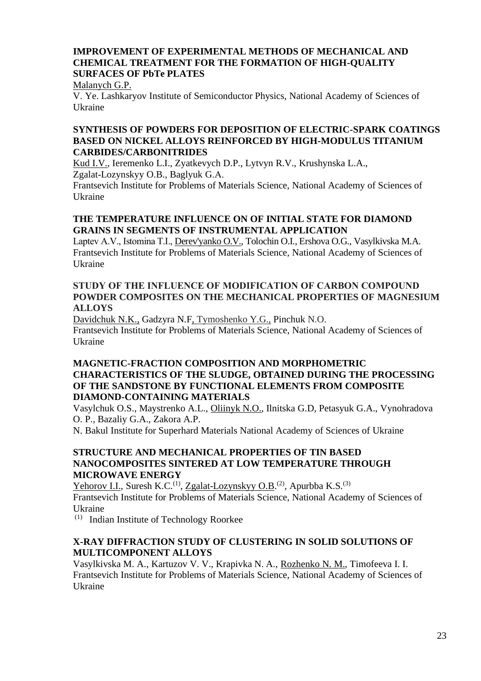### **IMPROVEMENT OF EXPERIMENTAL METHODS OF MECHANICAL AND CHEMICAL TREATMENT FOR THE FORMATION OF HIGH-QUALITY SURFACES OF PbTe PLATES**

Malanych G.P.

V. Ye. Lashkaryov Institute of Semiconductor Physics, National Academy of Sciences of Ukraine

#### **SYNTHESIS OF POWDERS FOR DEPOSITION OF ELECTRIC-SPARK COATINGS BASED ON NICKEL ALLOYS REINFORCED BY HIGH-MODULUS TITANIUM CARBIDES/CARBONITRIDES**

Kud I.V., Ieremenko L.I., Zyatkevych D.P., Lytvyn R.V., Krushynska L.A., Zgalat-Lozynskyy O.B., Baglyuk G.А.

Frantsevich Institute for Problems of Materials Science, National Academy of Sciences of Ukraine

### **THE TEMPERATURE INFLUENCE ON OF INITIAL STATE FOR DIAMOND GRAINS IN SEGMENTS OF INSTRUMENTAL APPLICATION**

Laptev A.V., Istomina T.І., Derev'yanko O.V., Tolochin O.I., Ershova O.G., Vasylkivska M.A. Frantsevich Institute for Problems of Materials Science, National Academy of Sciences of Ukraine

#### **STUDY OF THE INFLUENCE OF MODIFICATION OF СARBON COMPOUND POWDER COMPOSITES ON THE MECHANICAL PROPERTIES OF MAGNESIUM ALLOYS**

Davidchuk N.K., Gadzyra N.F, Tymoshenko Y.G., Pinchuk N.O. Frantsevich Institute for Problems of Materials Science, National Academy of Sciences of Ukraine

### **MAGNETIC-FRACTION COMPOSITION AND MORPHOMETRIC CHARACTERISTICS OF THE SLUDGE, OBTAINED DURING THE PROCESSING OF THE SANDSTONE BY FUNCTIONAL ELEMENTS FROM COMPOSITE DIAMOND-CONTAINING MATERIALS**

Vasylchuk O.S., Maystrenko A.L., Oliinyk N.O., Ilnitska G.D, Petasyuk G.A., Vynohradova O. P., Bazaliy G.A., Zakora A.P.

N. Bakul Institute for Superhard Materials National Academy of Sciences of Ukraine

#### **STRUCTURE AND MECHANICAL PROPERTIES OF TIN BASED NANOCOMPOSITES SINTERED AT LOW TEMPERATURE THROUGH MICROWAVE ENERGY**

Yehorov I.I., Suresh K.C.<sup>(1)</sup>, Zgalat-Lozynskyy O.B.<sup>(2)</sup>, Apurbba K.S.<sup>(3)</sup> Frantsevich Institute for Problems of Materials Science, National Academy of Sciences of Ukraine

(1) Indian Institute of Technology Roorkee

#### **X-RAY DIFFRACTION STUDY OF CLUSTERING IN SOLID SOLUTIONS OF MULTICOMPONENT ALLOYS**

Vasylkivska M. A., Kartuzov V. V., Krapivka N. A., Rozhenko N. M., Timofeeva I. I. Frantsevich Institute for Problems of Materials Science, National Academy of Sciences of Ukraine